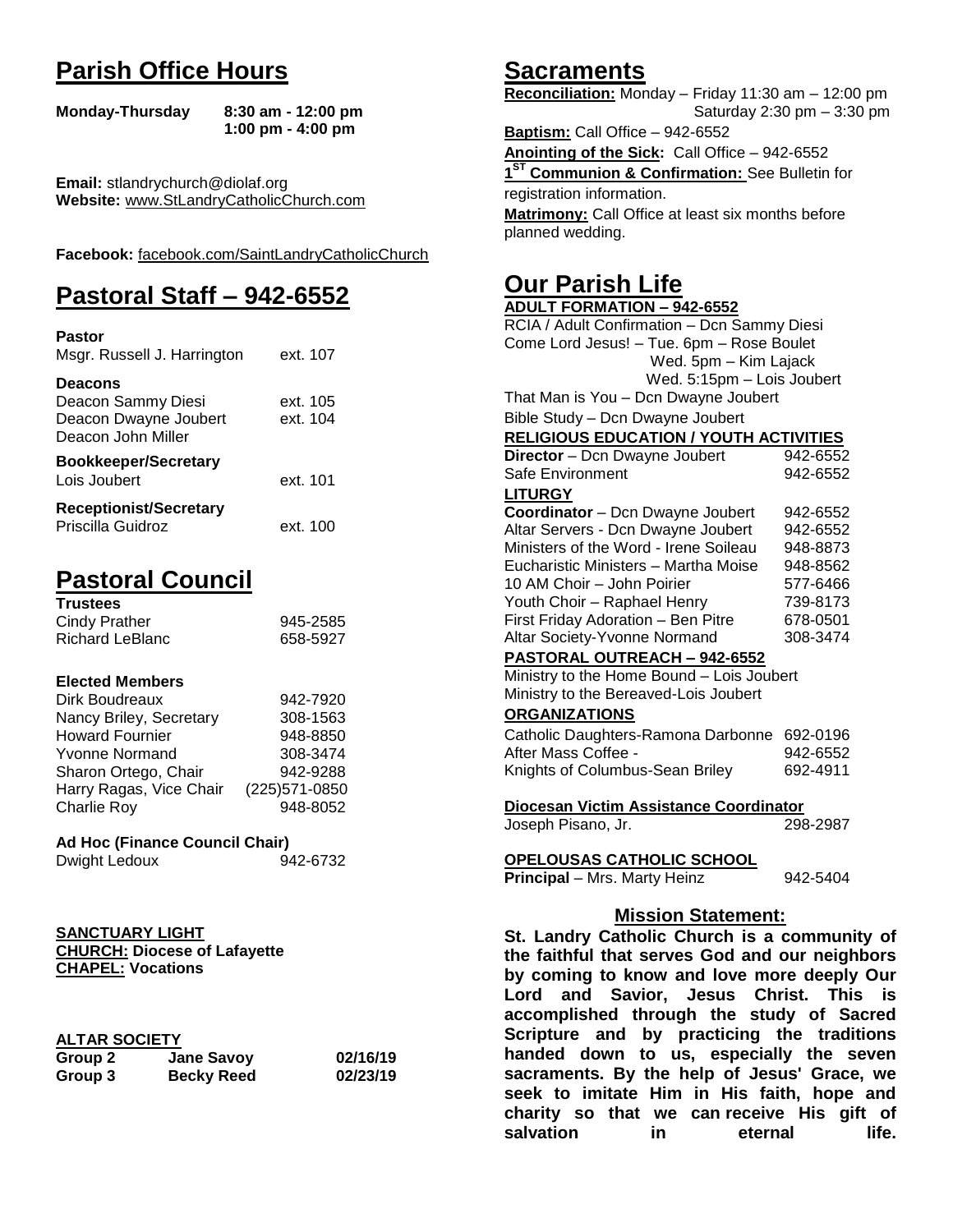# **Parish Office Hours**

```
Monday-Thursday 8:30 am - 12:00 pm
       1:00 pm - 4:00 pm
```
**Email:** stlandrychurch@diolaf.org **Website:** [www.StLandryCatholicChurch.com](http://www.stlandrycatholicchurch.com/)

**Facebook:** [facebook.com/SaintLandryCatholicChurch](http://facebook.com/SaintLandryCatholicChurch)

# **Pastoral Staff – 942-6552**

| <b>Pastor</b><br>Msgr. Russell J. Harrington                                        | ext. 107             |
|-------------------------------------------------------------------------------------|----------------------|
| <b>Deacons</b><br>Deacon Sammy Diesi<br>Deacon Dwayne Joubert<br>Deacon John Miller | ext. 105<br>ext. 104 |
| <b>Bookkeeper/Secretary</b><br>Lois Joubert                                         | ext. 101             |
| <b>Receptionist/Secretary</b><br>Priscilla Guidroz                                  | ext. 100             |

# **Pastoral Council**

| <b>Trustees</b> |          |
|-----------------|----------|
| Cindy Prather   | 945-2585 |
| Richard LeBlanc | 658-5927 |

#### **Elected Members**

| Dirk Boudreaux          | 942-7920       |
|-------------------------|----------------|
| Nancy Briley, Secretary | 308-1563       |
| <b>Howard Fournier</b>  | 948-8850       |
| <b>Yvonne Normand</b>   | 308-3474       |
| Sharon Ortego, Chair    | 942-9288       |
| Harry Ragas, Vice Chair | (225) 571-0850 |
| <b>Charlie Roy</b>      | 948-8052       |

#### **Ad Hoc (Finance Council Chair)**

```
Dwight Ledoux 942-6732
```
#### **SANCTUARY LIGHT CHURCH: Diocese of Lafayette CHAPEL: Vocations**

#### **ALTAR SOCIETY**

| Group 2 | <b>Jane Savoy</b> | 02/16/19 |
|---------|-------------------|----------|
| Group 3 | <b>Becky Reed</b> | 02/23/19 |

# **Sacraments**

**Reconciliation:** Monday – Friday 11:30 am – 12:00 pm Saturday 2:30 pm – 3:30 pm

**Baptism:** Call Office – 942-6552 **Anointing of the Sick:** Call Office – 942-6552 **1 ST Communion & Confirmation:** See Bulletin for registration information. **Matrimony:** Call Office at least six months before planned wedding.

# **Our Parish Life**

| <b>ADULT FORMATION - 942-6552</b>                                                                                                  |          |  |
|------------------------------------------------------------------------------------------------------------------------------------|----------|--|
| RCIA / Adult Confirmation - Dcn Sammy Diesi                                                                                        |          |  |
| Come Lord Jesus! - Tue. 6pm - Rose Boulet                                                                                          |          |  |
| Wed. 5pm - Kim Lajack                                                                                                              |          |  |
| Wed. 5:15pm - Lois Joubert                                                                                                         |          |  |
| That Man is You - Dcn Dwayne Joubert                                                                                               |          |  |
| Bible Study - Dcn Dwayne Joubert                                                                                                   |          |  |
| <b>RELIGIOUS EDUCATION / YOUTH ACTIVITIES</b>                                                                                      |          |  |
| Director - Dcn Dwayne Joubert                                                                                                      | 942-6552 |  |
| Safe Environment                                                                                                                   | 942-6552 |  |
| <b>LITURGY</b>                                                                                                                     |          |  |
| Coordinator - Dcn Dwayne Joubert                                                                                                   | 942-6552 |  |
| Altar Servers - Dcn Dwayne Joubert                                                                                                 | 942-6552 |  |
| Ministers of the Word - Irene Soileau                                                                                              | 948-8873 |  |
| Eucharistic Ministers - Martha Moise                                                                                               | 948-8562 |  |
| 10 AM Choir - John Poirier                                                                                                         | 577-6466 |  |
| Youth Choir - Raphael Henry                                                                                                        | 739-8173 |  |
| First Friday Adoration - Ben Pitre                                                                                                 | 678-0501 |  |
| Altar Society-Yvonne Normand                                                                                                       | 308-3474 |  |
| PASTORAL OUTREACH - 942-6552                                                                                                       |          |  |
| Ministry to the Home Bound - Lois Joubert                                                                                          |          |  |
| Ministry to the Bereaved-Lois Joubert                                                                                              |          |  |
| <b>ORGANIZATIONS</b>                                                                                                               |          |  |
| Catholic Daughters-Ramona Darbonne                                                                                                 | 692-0196 |  |
| After Mass Coffee -                                                                                                                | 942-6552 |  |
| Knights of Columbus-Sean Briley                                                                                                    | 692-4911 |  |
| Diocesan Victim Assistance Coordinator                                                                                             |          |  |
| Joseph Pisano, Jr.                                                                                                                 | 298-2987 |  |
| <b>OPELOUSAS CATHOLIC SCHOOL</b>                                                                                                   |          |  |
| Principal - Mrs. Marty Heinz                                                                                                       | 942-5404 |  |
| <b>Mission Statement:</b>                                                                                                          |          |  |
| St. Landry Catholic Church is a community of                                                                                       |          |  |
| the faithful that serves God and our neighbors                                                                                     |          |  |
|                                                                                                                                    |          |  |
| by coming to know and love more deeply Our                                                                                         |          |  |
| Lord and Savior, Jesus Christ.<br>This<br>is                                                                                       |          |  |
| accomplished through the study of Sacred<br>$-1.5 - 5.5$<br>وسامع المتحادي المتحدة<br>والملائف المحارة<br>- - -<br><b>ALC: YES</b> |          |  |

**accomplished through the study of Sacred Scripture and by practicing the traditions handed down to us, especially the seven sacraments. By the help of Jesus' Grace, we seek to imitate Him in His faith, hope and charity so that we can receive His gift of salvation in** eternal life.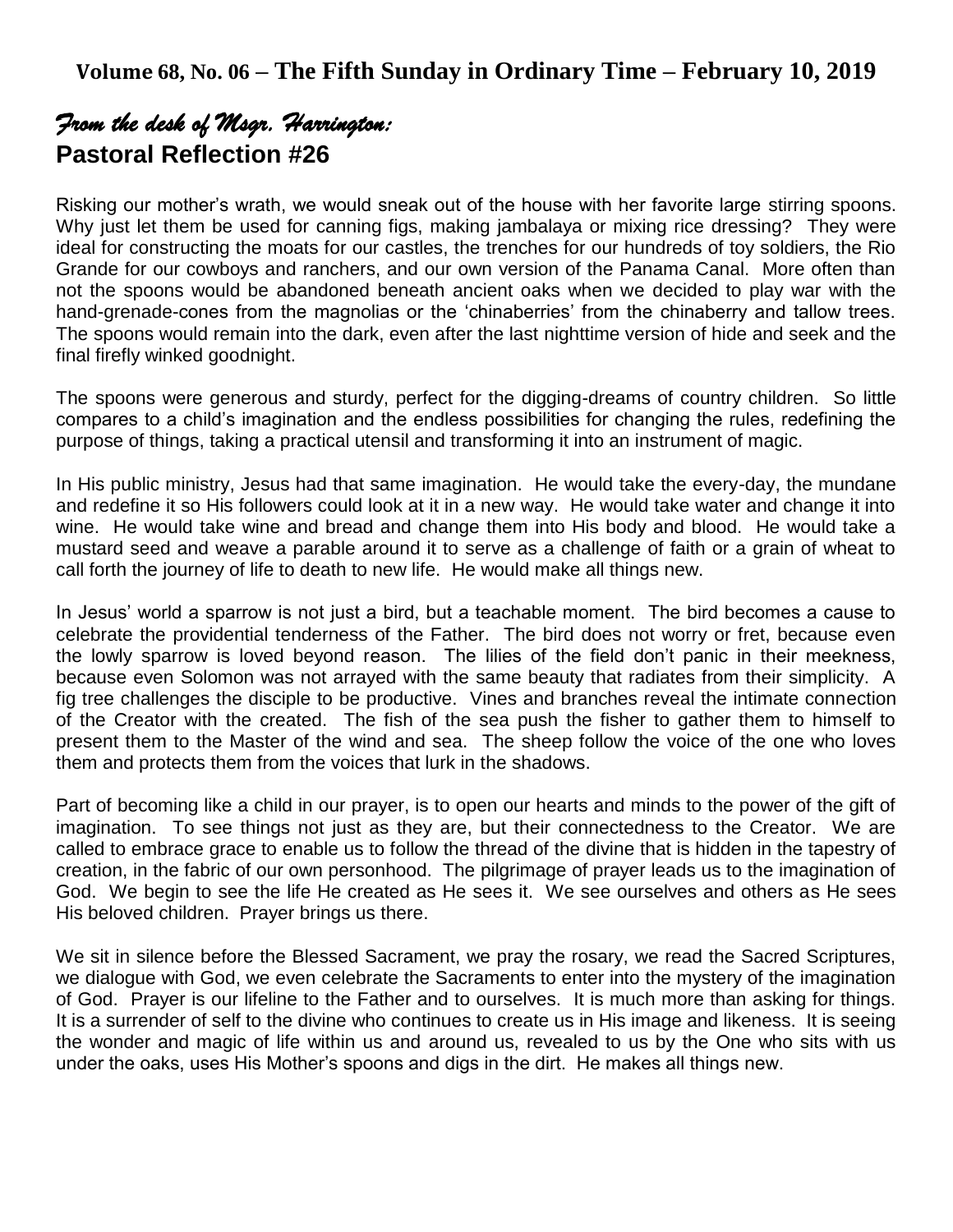# *From the desk of Msgr. Harrington:*  **Pastoral Reflection #26**

Risking our mother's wrath, we would sneak out of the house with her favorite large stirring spoons. Why just let them be used for canning figs, making jambalaya or mixing rice dressing? They were ideal for constructing the moats for our castles, the trenches for our hundreds of toy soldiers, the Rio Grande for our cowboys and ranchers, and our own version of the Panama Canal. More often than not the spoons would be abandoned beneath ancient oaks when we decided to play war with the hand-grenade-cones from the magnolias or the 'chinaberries' from the chinaberry and tallow trees. The spoons would remain into the dark, even after the last nighttime version of hide and seek and the final firefly winked goodnight.

The spoons were generous and sturdy, perfect for the digging-dreams of country children. So little compares to a child's imagination and the endless possibilities for changing the rules, redefining the purpose of things, taking a practical utensil and transforming it into an instrument of magic.

In His public ministry, Jesus had that same imagination. He would take the every-day, the mundane and redefine it so His followers could look at it in a new way. He would take water and change it into wine. He would take wine and bread and change them into His body and blood. He would take a mustard seed and weave a parable around it to serve as a challenge of faith or a grain of wheat to call forth the journey of life to death to new life. He would make all things new.

In Jesus' world a sparrow is not just a bird, but a teachable moment. The bird becomes a cause to celebrate the providential tenderness of the Father. The bird does not worry or fret, because even the lowly sparrow is loved beyond reason. The lilies of the field don't panic in their meekness, because even Solomon was not arrayed with the same beauty that radiates from their simplicity. A fig tree challenges the disciple to be productive. Vines and branches reveal the intimate connection of the Creator with the created. The fish of the sea push the fisher to gather them to himself to present them to the Master of the wind and sea. The sheep follow the voice of the one who loves them and protects them from the voices that lurk in the shadows.

Part of becoming like a child in our prayer, is to open our hearts and minds to the power of the gift of imagination. To see things not just as they are, but their connectedness to the Creator. We are called to embrace grace to enable us to follow the thread of the divine that is hidden in the tapestry of creation, in the fabric of our own personhood. The pilgrimage of prayer leads us to the imagination of God. We begin to see the life He created as He sees it. We see ourselves and others as He sees His beloved children. Prayer brings us there.

We sit in silence before the Blessed Sacrament, we pray the rosary, we read the Sacred Scriptures, we dialogue with God, we even celebrate the Sacraments to enter into the mystery of the imagination of God. Prayer is our lifeline to the Father and to ourselves. It is much more than asking for things. It is a surrender of self to the divine who continues to create us in His image and likeness. It is seeing the wonder and magic of life within us and around us, revealed to us by the One who sits with us under the oaks, uses His Mother's spoons and digs in the dirt. He makes all things new.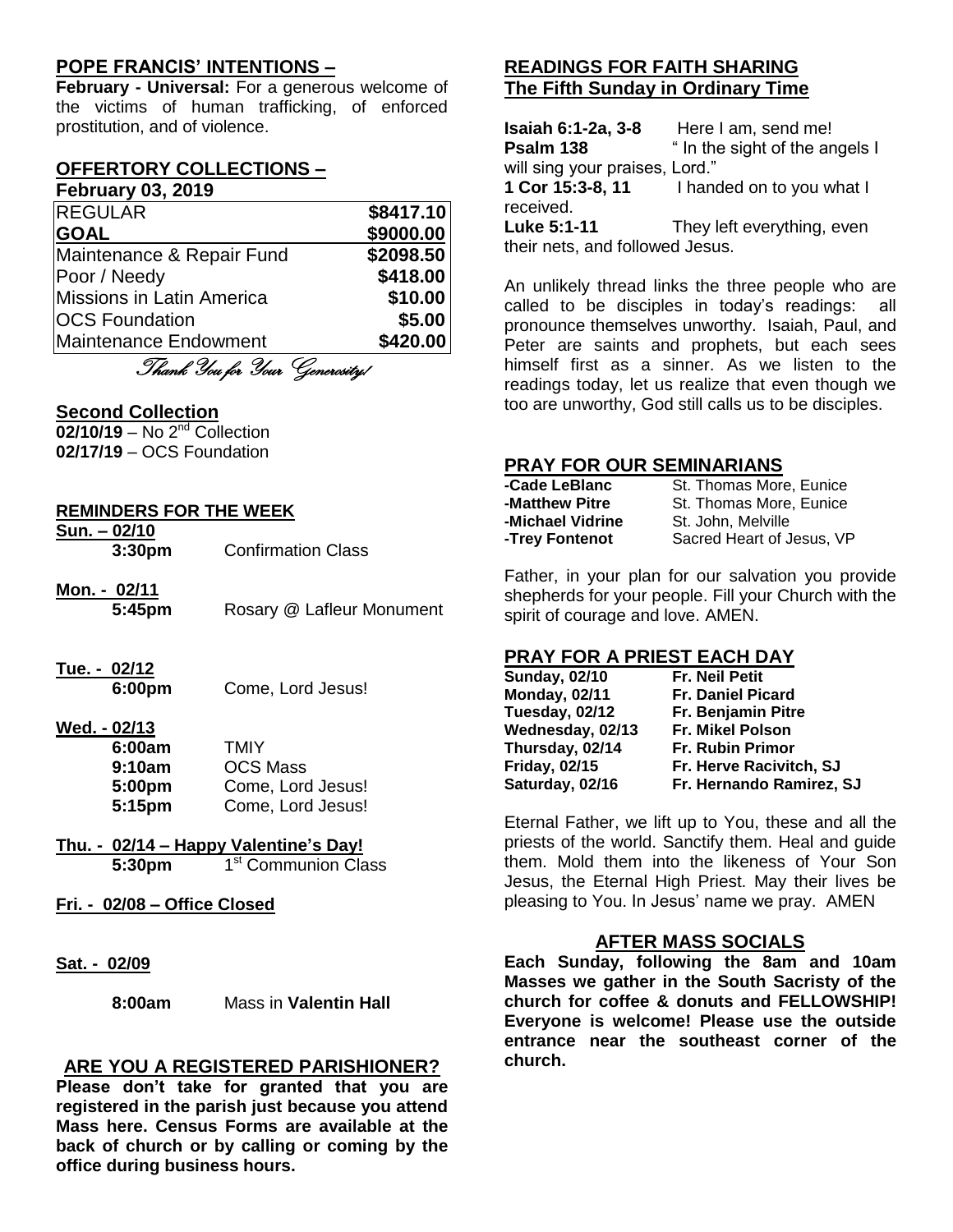### **POPE FRANCIS' INTENTIONS –**

**February - Universal:** For a generous welcome of the victims of human trafficking, of enforced prostitution, and of violence.

#### **OFFERTORY COLLECTIONS – February 03, 2019**

| T AMI MAI Y AN'I FATA     |           |
|---------------------------|-----------|
| <b>REGULAR</b>            | \$8417.10 |
| <b>GOAL</b>               | \$9000.00 |
| Maintenance & Repair Fund | \$2098.50 |
| Poor / Needy              | \$418.00  |
| Missions in Latin America | \$10.00   |
| <b>OCS Foundation</b>     | \$5.00    |
| Maintenance Endowment     | \$420.00  |
|                           |           |

Thank You for Your Generosity!

#### **Second Collection**

**02/10/19** – No 2nd Collection **02/17/19** – OCS Foundation

#### **REMINDERS FOR THE WEEK**

- **Sun. – 02/10 3:30pm** Confirmation Class
- **Mon. - 02/11 5:45pm** Rosary @ Lafleur Monument
- **Tue. - 02/12**
	- **6:00pm** Come, Lord Jesus!

#### **Wed. - 02/13**

| 6:00am | <b>TMIY</b>       |
|--------|-------------------|
| 9:10am | <b>OCS Mass</b>   |
| 5:00pm | Come, Lord Jesus! |
| 5:15pm | Come, Lord Jesus! |

#### **Thu. - 02/14 – Happy Valentine's Day! 5:30pm** 1 1<sup>st</sup> Communion Class

- **Fri. - 02/08 – Office Closed**
- **Sat. - 02/09**

**8:00am** Mass in **Valentin Hall**

#### **ARE YOU A REGISTERED PARISHIONER?**

**Please don't take for granted that you are registered in the parish just because you attend Mass here. Census Forms are available at the back of church or by calling or coming by the office during business hours.**

## **READINGS FOR FAITH SHARING The Fifth Sunday in Ordinary Time**

**Isaiah 6:1-2a, 3-8** Here I am, send me! **Psalm 138** " In the sight of the angels I will sing your praises, Lord." **1 Cor 15:3-8, 11** I handed on to you what I received. **Luke 5:1-11** They left everything, even their nets, and followed Jesus.

An unlikely thread links the three people who are called to be disciples in today's readings: all pronounce themselves unworthy. Isaiah, Paul, and Peter are saints and prophets, but each sees himself first as a sinner. As we listen to the readings today, let us realize that even though we too are unworthy, God still calls us to be disciples.

#### **PRAY FOR OUR SEMINARIANS**

| -Cade LeBlanc    | St. Thomas More, Eunice   |  |
|------------------|---------------------------|--|
| -Matthew Pitre   | St. Thomas More, Eunice   |  |
| -Michael Vidrine | St. John, Melville        |  |
| -Trey Fontenot   | Sacred Heart of Jesus, VP |  |

Father, in your plan for our salvation you provide shepherds for your people. Fill your Church with the spirit of courage and love. AMEN.

#### **PRAY FOR A PRIEST EACH DAY**

| <b>Fr. Neil Petit</b>    |
|--------------------------|
| <b>Fr. Daniel Picard</b> |
| Fr. Benjamin Pitre       |
| Fr. Mikel Polson         |
| <b>Fr. Rubin Primor</b>  |
| Fr. Herve Racivitch, SJ  |
| Fr. Hernando Ramirez, SJ |
|                          |

Eternal Father, we lift up to You, these and all the priests of the world. Sanctify them. Heal and guide them. Mold them into the likeness of Your Son Jesus, the Eternal High Priest. May their lives be pleasing to You. In Jesus' name we pray. AMEN

#### **AFTER MASS SOCIALS**

**Each Sunday, following the 8am and 10am Masses we gather in the South Sacristy of the church for coffee & donuts and FELLOWSHIP! Everyone is welcome! Please use the outside entrance near the southeast corner of the church.**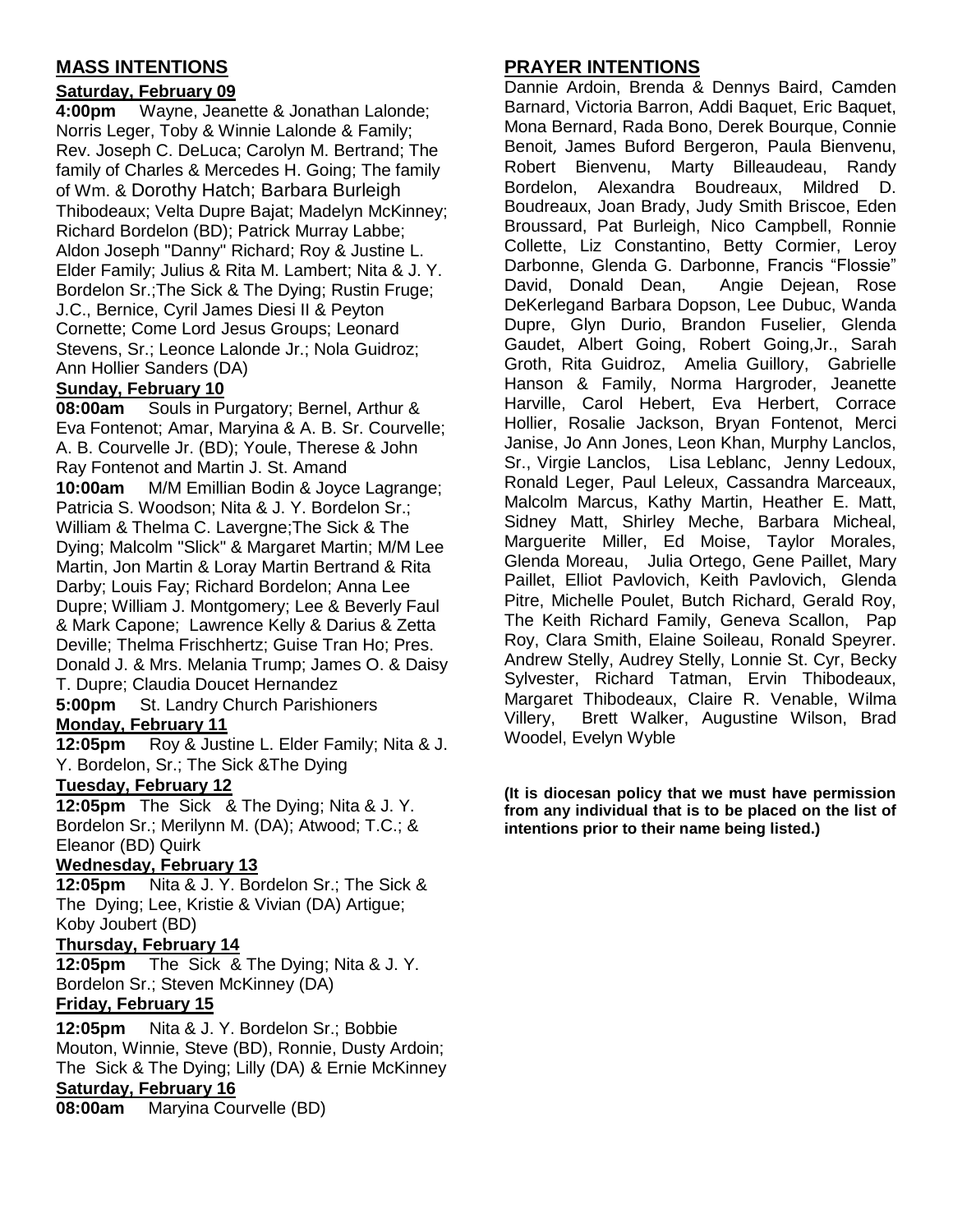## **MASS INTENTIONS**

### **Saturday, February 09**

**4:00pm** Wayne, Jeanette & Jonathan Lalonde; Norris Leger, Toby & Winnie Lalonde & Family; Rev. Joseph C. DeLuca; Carolyn M. Bertrand; The family of Charles & Mercedes H. Going; The family of Wm. & Dorothy Hatch; Barbara Burleigh Thibodeaux; Velta Dupre Bajat; Madelyn McKinney; Richard Bordelon (BD); Patrick Murray Labbe; Aldon Joseph "Danny" Richard; Roy & Justine L. Elder Family; Julius & Rita M. Lambert; Nita & J. Y. Bordelon Sr.;The Sick & The Dying; Rustin Fruge; J.C., Bernice, Cyril James Diesi II & Peyton Cornette; Come Lord Jesus Groups; Leonard Stevens, Sr.; Leonce Lalonde Jr.; Nola Guidroz; Ann Hollier Sanders (DA)

### **Sunday, February 10**

**08:00am** Souls in Purgatory; Bernel, Arthur & Eva Fontenot; Amar, Maryina & A. B. Sr. Courvelle; A. B. Courvelle Jr. (BD); Youle, Therese & John Ray Fontenot and Martin J. St. Amand **10:00am** M/M Emillian Bodin & Joyce Lagrange; Patricia S. Woodson; Nita & J. Y. Bordelon Sr.; William & Thelma C. Lavergne;The Sick & The Dying; Malcolm "Slick" & Margaret Martin; M/M Lee Martin, Jon Martin & Loray Martin Bertrand & Rita Darby; Louis Fay; Richard Bordelon; Anna Lee Dupre; William J. Montgomery; Lee & Beverly Faul & Mark Capone; Lawrence Kelly & Darius & Zetta Deville; Thelma Frischhertz; Guise Tran Ho; Pres. Donald J. & Mrs. Melania Trump; James O. & Daisy T. Dupre; Claudia Doucet Hernandez **5:00pm** St. Landry Church Parishioners **Monday, February 11**

**12:05pm** Roy & Justine L. Elder Family; Nita & J. Y. Bordelon, Sr.; The Sick &The Dying

## **Tuesday, February 12**

**12:05pm** The Sick & The Dying; Nita & J. Y. Bordelon Sr.; Merilynn M. (DA); Atwood; T.C.; & Eleanor (BD) Quirk

#### **Wednesday, February 13**

**12:05pm** Nita & J. Y. Bordelon Sr.; The Sick & The Dying; Lee, Kristie & Vivian (DA) Artigue; Koby Joubert (BD)

#### **Thursday, February 14**

**12:05pm** The Sick & The Dying; Nita & J. Y. Bordelon Sr.; Steven McKinney (DA)

# **Friday, February 15**

**12:05pm** Nita & J. Y. Bordelon Sr.; Bobbie Mouton, Winnie, Steve (BD), Ronnie, Dusty Ardoin; The Sick & The Dying; Lilly (DA) & Ernie McKinney **Saturday, February 16**

```
08:00am Maryina Courvelle (BD)
```
# **PRAYER INTENTIONS**

Dannie Ardoin, Brenda & Dennys Baird, Camden Barnard, Victoria Barron, Addi Baquet, Eric Baquet, Mona Bernard, Rada Bono, Derek Bourque, Connie Benoit, James Buford Bergeron, Paula Bienvenu, Robert Bienvenu, Marty Billeaudeau, Randy Bordelon, Alexandra Boudreaux, Mildred D. Boudreaux, Joan Brady, Judy Smith Briscoe, Eden Broussard, Pat Burleigh, Nico Campbell, Ronnie Collette, Liz Constantino, Betty Cormier, Leroy Darbonne, Glenda G. Darbonne, Francis "Flossie" David, Donald Dean, Angie Dejean, Rose DeKerlegand Barbara Dopson, Lee Dubuc, Wanda Dupre, Glyn Durio, Brandon Fuselier, Glenda Gaudet, Albert Going, Robert Going,Jr., Sarah Groth, Rita Guidroz, Amelia Guillory, Gabrielle Hanson & Family, Norma Hargroder, Jeanette Harville, Carol Hebert, Eva Herbert, Corrace Hollier, Rosalie Jackson, Bryan Fontenot, Merci Janise, Jo Ann Jones, Leon Khan, Murphy Lanclos, Sr., Virgie Lanclos, Lisa Leblanc, Jenny Ledoux, Ronald Leger, Paul Leleux, Cassandra Marceaux, Malcolm Marcus, Kathy Martin, Heather E. Matt, Sidney Matt, Shirley Meche, Barbara Micheal, Marguerite Miller, Ed Moise, Taylor Morales, Glenda Moreau, Julia Ortego, Gene Paillet, Mary Paillet, Elliot Pavlovich, Keith Pavlovich, Glenda Pitre, Michelle Poulet, Butch Richard, Gerald Roy, The Keith Richard Family, Geneva Scallon, Pap Roy, Clara Smith, Elaine Soileau, Ronald Speyrer. Andrew Stelly, Audrey Stelly, Lonnie St. Cyr, Becky Sylvester, Richard Tatman, Ervin Thibodeaux, Margaret Thibodeaux, Claire R. Venable, Wilma Villery, Brett Walker, Augustine Wilson, Brad Woodel, Evelyn Wyble

**(It is diocesan policy that we must have permission from any individual that is to be placed on the list of intentions prior to their name being listed.)**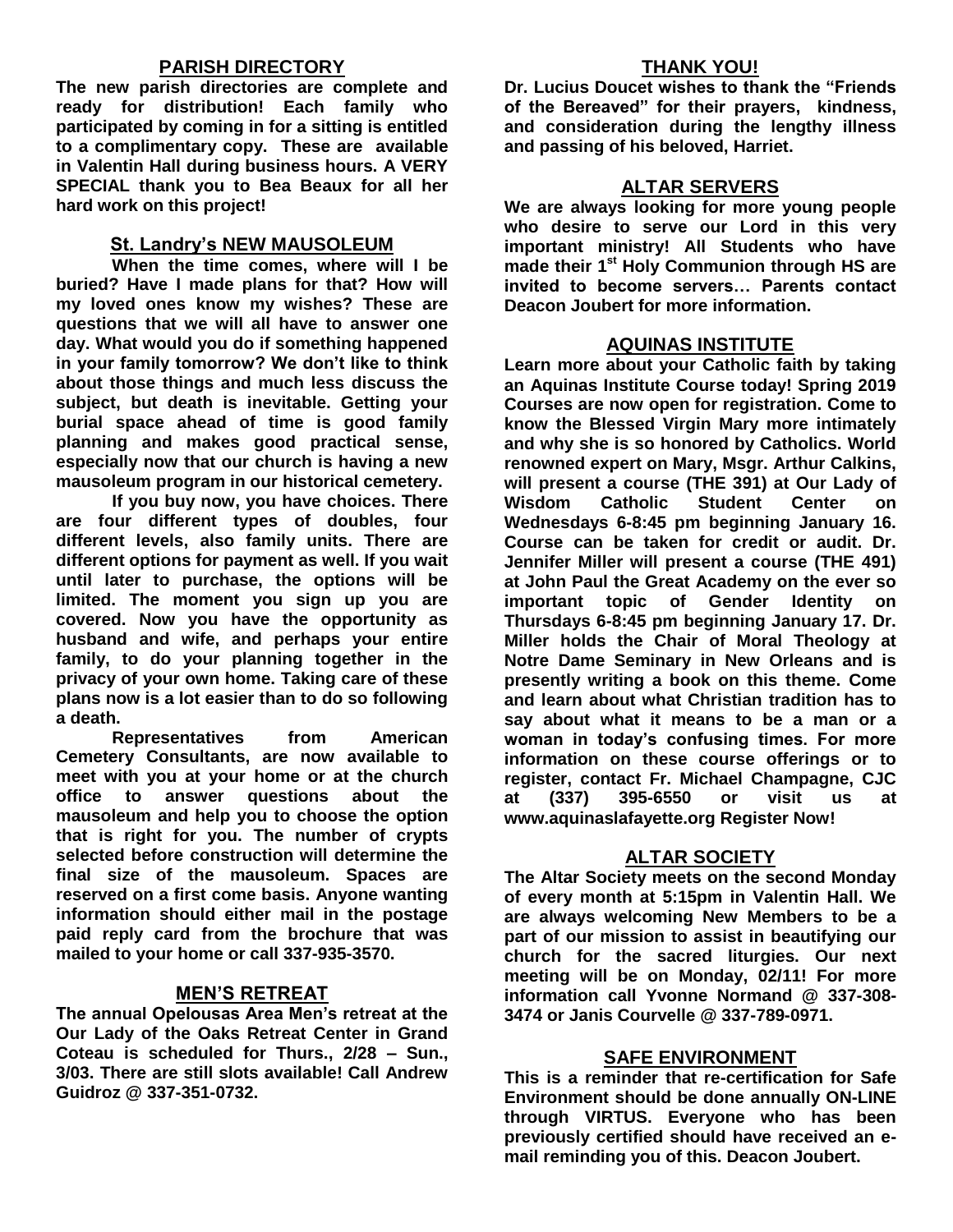#### **PARISH DIRECTORY**

**The new parish directories are complete and ready for distribution! Each family who participated by coming in for a sitting is entitled to a complimentary copy. These are available in Valentin Hall during business hours. A VERY SPECIAL thank you to Bea Beaux for all her hard work on this project!**

#### **St. Landry's NEW MAUSOLEUM**

**When the time comes, where will I be buried? Have I made plans for that? How will my loved ones know my wishes? These are questions that we will all have to answer one day. What would you do if something happened in your family tomorrow? We don't like to think about those things and much less discuss the subject, but death is inevitable. Getting your burial space ahead of time is good family planning and makes good practical sense, especially now that our church is having a new mausoleum program in our historical cemetery.**

**If you buy now, you have choices. There are four different types of doubles, four different levels, also family units. There are different options for payment as well. If you wait until later to purchase, the options will be limited. The moment you sign up you are covered. Now you have the opportunity as husband and wife, and perhaps your entire family, to do your planning together in the privacy of your own home. Taking care of these plans now is a lot easier than to do so following a death.**

**Representatives from American Cemetery Consultants, are now available to meet with you at your home or at the church office to answer questions about the mausoleum and help you to choose the option that is right for you. The number of crypts selected before construction will determine the final size of the mausoleum. Spaces are reserved on a first come basis. Anyone wanting information should either mail in the postage paid reply card from the brochure that was mailed to your home or call 337-935-3570.**

#### **MEN'S RETREAT**

**The annual Opelousas Area Men's retreat at the Our Lady of the Oaks Retreat Center in Grand Coteau is scheduled for Thurs., 2/28 – Sun., 3/03. There are still slots available! Call Andrew Guidroz @ 337-351-0732.**

#### **THANK YOU!**

**Dr. Lucius Doucet wishes to thank the "Friends of the Bereaved" for their prayers, kindness, and consideration during the lengthy illness and passing of his beloved, Harriet.**

#### **ALTAR SERVERS**

**We are always looking for more young people who desire to serve our Lord in this very important ministry! All Students who have made their 1st Holy Communion through HS are invited to become servers… Parents contact Deacon Joubert for more information.**

#### **AQUINAS INSTITUTE**

**Learn more about your Catholic faith by taking an Aquinas Institute Course today! Spring 2019 Courses are now open for registration. Come to know the Blessed Virgin Mary more intimately and why she is so honored by Catholics. World renowned expert on Mary, Msgr. Arthur Calkins, will present a course (THE 391) at Our Lady of Wisdom Catholic Student Center on Wednesdays 6-8:45 pm beginning January 16. Course can be taken for credit or audit. Dr. Jennifer Miller will present a course (THE 491) at John Paul the Great Academy on the ever so important topic of Gender Identity on Thursdays 6-8:45 pm beginning January 17. Dr. Miller holds the Chair of Moral Theology at Notre Dame Seminary in New Orleans and is presently writing a book on this theme. Come and learn about what Christian tradition has to say about what it means to be a man or a woman in today's confusing times. For more information on these course offerings or to register, contact Fr. Michael Champagne, CJC at (337) 395-6550 or visit us at www.aquinaslafayette.org Register Now!**

#### **ALTAR SOCIETY**

**The Altar Society meets on the second Monday of every month at 5:15pm in Valentin Hall. We are always welcoming New Members to be a part of our mission to assist in beautifying our church for the sacred liturgies. Our next meeting will be on Monday, 02/11! For more information call Yvonne Normand @ 337-308- 3474 or Janis Courvelle @ 337-789-0971.** 

#### **SAFE ENVIRONMENT**

**This is a reminder that re-certification for Safe Environment should be done annually ON-LINE through VIRTUS. Everyone who has been previously certified should have received an email reminding you of this. Deacon Joubert.**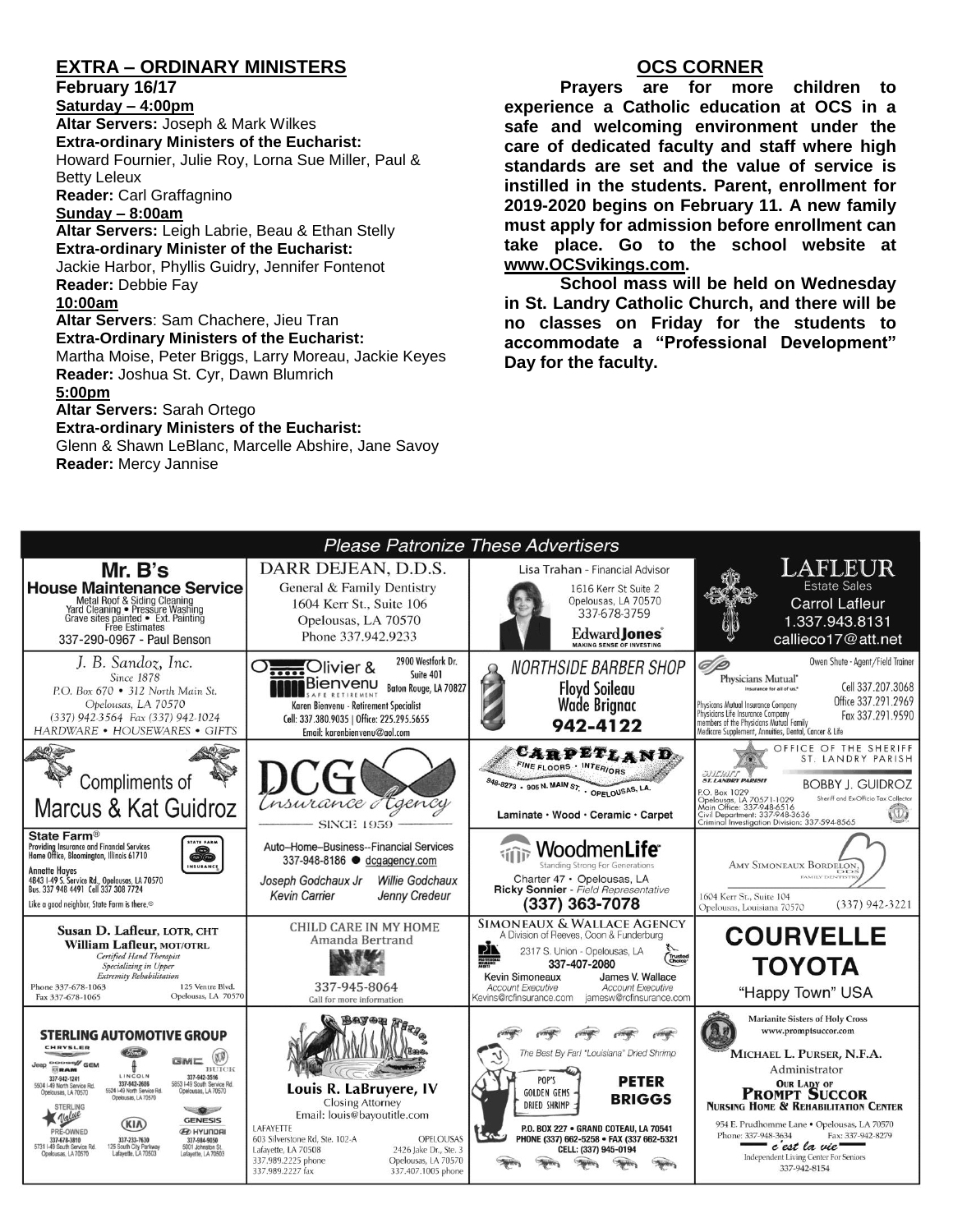### **EXTRA – ORDINARY MINISTERS**

**February 16/17**

**Saturday – 4:00pm Altar Servers:** Joseph & Mark Wilkes **Extra-ordinary Ministers of the Eucharist:**  Howard Fournier, Julie Roy, Lorna Sue Miller, Paul & Betty Leleux **Reader:** Carl Graffagnino

#### **Sunday – 8:00am**

**Altar Servers:** Leigh Labrie, Beau & Ethan Stelly **Extra-ordinary Minister of the Eucharist:** Jackie Harbor, Phyllis Guidry, Jennifer Fontenot **Reader:** Debbie Fay

#### **10:00am**

**Altar Servers**: Sam Chachere, Jieu Tran **Extra-Ordinary Ministers of the Eucharist:** Martha Moise, Peter Briggs, Larry Moreau, Jackie Keyes **Reader:** Joshua St. Cyr, Dawn Blumrich

#### **5:00pm**

**Altar Servers:** Sarah Ortego

#### **Extra-ordinary Ministers of the Eucharist:**

Glenn & Shawn LeBlanc, Marcelle Abshire, Jane Savoy **Reader:** Mercy Jannise

#### **OCS CORNER**

**Prayers are for more children to experience a Catholic education at OCS in a safe and welcoming environment under the care of dedicated faculty and staff where high standards are set and the value of service is instilled in the students. Parent, enrollment for 2019-2020 begins on February 11. A new family must apply for admission before enrollment can take place. Go to the school website at [www.OCSvikings.com.](http://www.ocsvikings.com/)**

**School mass will be held on Wednesday in St. Landry Catholic Church, and there will be no classes on Friday for the students to accommodate a "Professional Development" Day for the faculty.**

|                                                                                                                                                                                |                                                                                     | Please Patronize These Advertisers                                                                         |                                                                                                             |
|--------------------------------------------------------------------------------------------------------------------------------------------------------------------------------|-------------------------------------------------------------------------------------|------------------------------------------------------------------------------------------------------------|-------------------------------------------------------------------------------------------------------------|
| Mr. B's                                                                                                                                                                        | DARR DEJEAN, D.D.S.                                                                 | Lisa Trahan - Financial Advisor                                                                            | LAFLEUR                                                                                                     |
| <b>House Maintenance Service</b>                                                                                                                                               | General & Family Dentistry                                                          | 1616 Kerr St Suite 2                                                                                       | <b>Estate Sales</b>                                                                                         |
| Metal Roof & Siding Cleaning                                                                                                                                                   | 1604 Kerr St., Suite 106                                                            | Opelousas, LA 70570<br>337-678-3759                                                                        | <b>Carrol Lafleur</b>                                                                                       |
| Yard Cleaning • Pressure Washing<br>Grave sites painted • Ext. Painting<br>Free Estimates                                                                                      | Opelousas, LA 70570                                                                 |                                                                                                            | 1.337.943.8131                                                                                              |
| 337-290-0967 - Paul Benson                                                                                                                                                     | Phone 337.942.9233                                                                  | Edward Jones <sup>®</sup><br><b>MAKING SENSE OF INVESTING</b>                                              | callieco17@att.net                                                                                          |
| J. B. Sandoz, Inc.                                                                                                                                                             | 2900 Westfork Dr.<br>O <sub>cces</sub> Olivier &<br>Suite 401                       | <b>NORTHSIDE BARBER SHOP</b>                                                                               | Owen Shute - Agent/Field Trainer<br>@ p                                                                     |
| Since 1878<br>P.O. Box 670 . 312 North Main St.                                                                                                                                | Bienvenu<br>Baton Rouge, LA 70827                                                   | <b>Floyd Soileau</b>                                                                                       | Physicians Mutual"<br>Cell 337.207.3068<br>Insurance for all of us."                                        |
| Opelousas, LA 70570                                                                                                                                                            | Karen Bienvenu - Retirement Specialist                                              | <b>Wade Brignac</b>                                                                                        | Office 337.291.2969<br>Physicans Mutual Insurance Company                                                   |
| (337) 942-3564 Fax (337) 942-1024                                                                                                                                              | Cell: 337.380.9035   Office: 225.295.5655                                           |                                                                                                            | Physicians Life Insurance Company<br>Fax 337,291,9590<br>members of the Physicians Mutual Family            |
| HARDWARE • HOUSEWARES • GIFTS                                                                                                                                                  | Email: karenbienvenu@aol.com                                                        | 942-4122                                                                                                   | Medicare Supplement, Annuities, Dental, Cancer & Life                                                       |
|                                                                                                                                                                                |                                                                                     | <b>CARPETLAND</b>                                                                                          | OFFICE OF THE SHERIFF<br>ST. LANDRY PARISH                                                                  |
|                                                                                                                                                                                |                                                                                     | FINE FLOORS . INTERIORS                                                                                    | <b>SITERIEF</b><br><b>ST. LANDRY PARISH</b>                                                                 |
| Compliments of                                                                                                                                                                 |                                                                                     | 948-8273 . 905 N. MAIN ST . OPELOUSAS, LA.                                                                 | <b>BOBBY J. GUIDROZ</b><br>P.O. Box 1029<br>Sheriff and Ex-Officio Tax Collector                            |
| Marcus & Kat Guidroz                                                                                                                                                           | Insurance Haency                                                                    | Laminate · Wood · Ceramic · Carpet                                                                         | <br>Opelousas, LA 70571-1029<br>Main Office: 337-948-6516<br>$\mathbb{U}$<br>Civil Department: 337-948-3636 |
|                                                                                                                                                                                | <b>SINCE 1959</b>                                                                   |                                                                                                            | Criminal Investigation Division: 337-594-8565                                                               |
| State Farm <sup>®</sup><br><b>STATE FARM</b><br>Providina Insurance and Financial Services                                                                                     | Auto-Home-Business--Financial Services                                              | Woodmen <b>Life</b> <sup>.</sup>                                                                           |                                                                                                             |
| 68<br>Home Office, Bloomington, Illinois 61710<br>INSURANCE                                                                                                                    | 337-948-8186 · dcgagency.com                                                        | <b>Standing Strong For Generations</b>                                                                     | AMY SIMONEAUX BORDELON,                                                                                     |
| <b>Annette Hayes</b><br>4843 I-49 S. Service Rd., Opelousas, LA 70570<br>Bus. 337 948 4491 Cell 337 308 7724                                                                   | Joseph Godchaux Jr<br><b>Willie Godchaux</b>                                        | Charter 47 · Opelousas, LA                                                                                 | <b>DD</b><br>FAMILY DENTISTE                                                                                |
|                                                                                                                                                                                | <b>Kevin Carrier</b><br>Jenny Credeur                                               | Ricky Sonnier - Field Representative                                                                       | 1604 Kerr St., Suite 104                                                                                    |
| Like a good neighbor, State Farm is there. <sup>®</sup>                                                                                                                        |                                                                                     | (337) 363-7078                                                                                             | $(337)$ 942-3221<br>Opelousas, Louisiana 70570                                                              |
| Susan D. Lafleur, LOTR, CHT                                                                                                                                                    | <b>CHILD CARE IN MY HOME</b><br>Amanda Bertrand                                     | SIMONEAUX & WALLACE AGENCY<br>A Division of Reeves, Coon & Funderburg                                      | <b>COURVELLE</b>                                                                                            |
| William Lafleur, MOT/OTRL<br>Certified Hand Therapist                                                                                                                          |                                                                                     | PÌ<br>2317 S. Union - Opelousas, LA<br>Trusted<br>Choice <sup>®</sup>                                      |                                                                                                             |
| Specializing in Upper<br>Extremity Rehabilitation                                                                                                                              |                                                                                     | 337-407-2080<br><b>Kevin Simoneaux</b><br>James V. Wallace                                                 | ΤΟΥΟΤΑ                                                                                                      |
| 125 Ventre Blvd.<br>Phone 337-678-1063<br>Opelousas, LA 70570<br>Fax 337-678-1065                                                                                              | 337-945-8064<br>Call for more information                                           | <b>Account Executive</b><br><b>Account Executive</b><br>Kevins@rcfinsurance.com<br>jamesw@rcfinsurance.com | "Happy Town" USA                                                                                            |
|                                                                                                                                                                                |                                                                                     |                                                                                                            | <b>Marianite Sisters of Holy Cross</b><br>www.promptsuccor.com                                              |
| <b>STERLING AUTOMOTIVE GROUP</b><br>CHRYSLER                                                                                                                                   |                                                                                     | The Best By Far! "Louisiana" Dried Shrimp                                                                  |                                                                                                             |
| <b>NAME AND</b><br>Jeep <sup>coocast</sup> / GEM<br>BUICK<br><b>ORAM</b>                                                                                                       |                                                                                     |                                                                                                            | MICHAEL L. PURSER, N.F.A.<br>Administrator                                                                  |
| LINCOLN<br>337-942-3516<br>337-942-1241<br>337-942-2686<br>5853 I-49 South Service Rd.<br>5504 I-49 North Service Rd.                                                          |                                                                                     | POP'S<br><b>PETER</b>                                                                                      |                                                                                                             |
| 5524 I-49 North Service Rd.<br>Opelousas, LA 70570<br>Opelousas, LA 70570<br>Coelousas, LA 70570                                                                               | Louis R. LaBruyere, IV<br><b>Closing Attorney</b>                                   | <b>GOLDEN GEMS</b><br><b>BRIGGS</b><br><b>DRIED SHRIMP</b>                                                 | <b>PROMPT SUCCOR</b>                                                                                        |
| <b>STERLING</b><br>$\blacksquare$<br><b>GENESIS</b>                                                                                                                            | Email: louis@bayoutitle.com                                                         |                                                                                                            | <b>NURSING HOME &amp; REHABILITATION CENTER</b>                                                             |
| (KIA)<br><b>ED HYUNDAI</b><br>PRE-OWNED<br>337-678-3810                                                                                                                        | LAFAYETTE<br><b>OPELOUSAS</b><br>603 Silverstone Rd, Ste. 102-A                     | P.O. BOX 227 . GRAND COTEAU, LA 70541<br>i kan<br>PHONE (337) 662-5258 · FAX (337 662-5321                 | 954 E. Prudhomme Lane . Opelousas, LA 70570<br>Phone: 337-948-3634<br>Fax: 337-942-8279                     |
| 337-233-7630<br>337-984-9050<br>5731 I-49 South Service Rd<br>125 South City Parkway<br>5001 Johnston St.<br>Opelousas, LA 70570<br>Lafayette, LA 70503<br>Lafayette, LA 70503 | 2426 Jake Dr., Ste. 3<br>Lafayette, LA 70508                                        | CELL: (337) 945-0194                                                                                       | c'est la vie                                                                                                |
|                                                                                                                                                                                | 337.989.2225 phone<br>Opelousas, LA 70570<br>337 989 2227 fax<br>337.407.1005.phone |                                                                                                            | Independent Living Center For Seniors<br>337-942-8154                                                       |